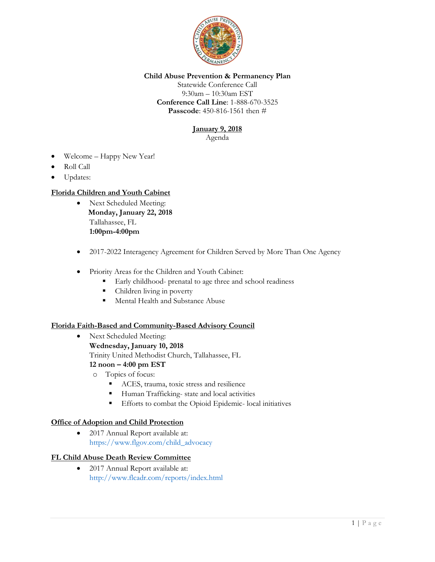

# **Child Abuse Prevention & Permanency Plan**

Statewide Conference Call 9:30am – 10:30am EST **Conference Call Line**: 1-888-670-3525 **Passcode**: 450-816-1561 then #

# **January 9, 2018**

Agenda

- Welcome Happy New Year!
- Roll Call
- Updates:

# **Florida Children and Youth Cabinet**

- Next Scheduled Meeting: **Monday, January 22, 2018** Tallahassee, FL **1:00pm-4:00pm**
- 2017-2022 Interagency Agreement for Children Served by More Than One Agency
- Priority Areas for the Children and Youth Cabinet:
	- Early childhood- prenatal to age three and school readiness
	- Children living in poverty
	- Mental Health and Substance Abuse

# **Florida Faith-Based and Community-Based Advisory Council**

- Next Scheduled Meeting: **Wednesday, January 10, 2018** Trinity United Methodist Church, Tallahassee, FL **12 noon – 4:00 pm EST** o Topics of focus:
	- ACES, trauma, toxic stress and resilience
	- Human Trafficking- state and local activities
	- **Efforts to combat the Opioid Epidemic- local initiatives**

#### **Office of Adoption and Child Protection**

 2017 Annual Report available at: [https://www.flgov.com/child\\_advocacy](https://www.flgov.com/child_advocacy)

# **FL Child Abuse Death Review Committee**

• 2017 Annual Report available at: <http://www.flcadr.com/reports/index.html>